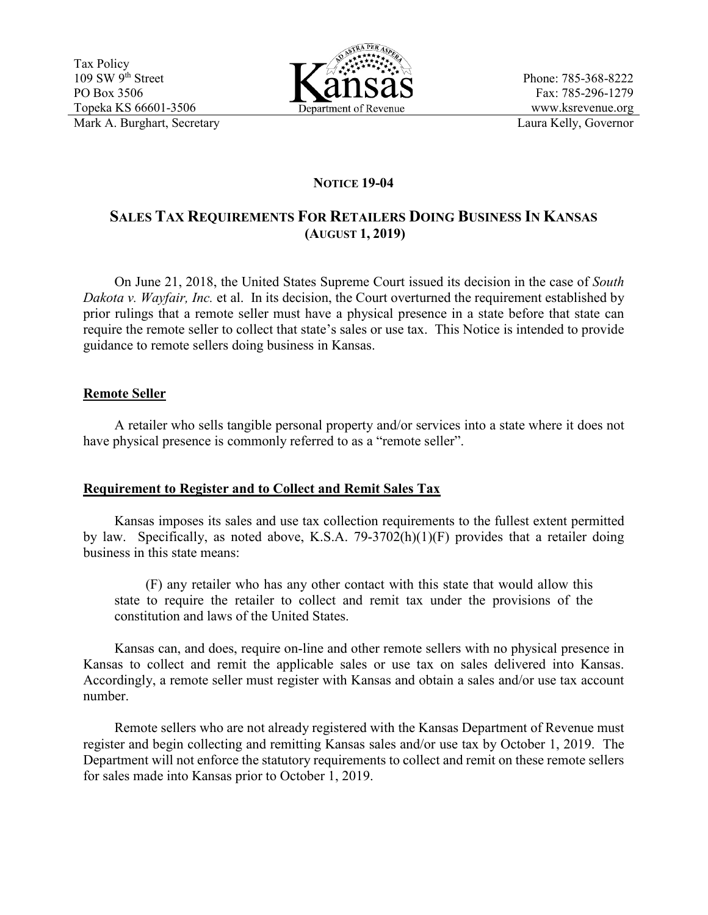Tax Policy  $109$  SW  $9^{th}$  Street PO Box 3506 Topeka KS 66601-3506 Mark A. Burghart, Secretary **Laura Kelly, Governor** 



Phone: 785-368-8222 Fax: 785-296-1279 www.ksrevenue.org

# **NOTICE 19-04**

# **SALES TAX REQUIREMENTS FOR RETAILERS DOING BUSINESS IN KANSAS (AUGUST 1, 2019)**

On June 21, 2018, the United States Supreme Court issued its decision in the case of *South Dakota v. Wayfair, Inc.* et al. In its decision, the Court overturned the requirement established by prior rulings that a remote seller must have a physical presence in a state before that state can require the remote seller to collect that state's sales or use tax. This Notice is intended to provide guidance to remote sellers doing business in Kansas.

### **Remote Seller**

A retailer who sells tangible personal property and/or services into a state where it does not have physical presence is commonly referred to as a "remote seller".

# **Requirement to Register and to Collect and Remit Sales Tax**

Kansas imposes its sales and use tax collection requirements to the fullest extent permitted by law. Specifically, as noted above, K.S.A. 79-3702(h)(1)(F) provides that a retailer doing business in this state means:

(F) any retailer who has any other contact with this state that would allow this state to require the retailer to collect and remit tax under the provisions of the constitution and laws of the United States.

Kansas can, and does, require on-line and other remote sellers with no physical presence in Kansas to collect and remit the applicable sales or use tax on sales delivered into Kansas. Accordingly, a remote seller must register with Kansas and obtain a sales and/or use tax account number.

Remote sellers who are not already registered with the Kansas Department of Revenue must register and begin collecting and remitting Kansas sales and/or use tax by October 1, 2019. The Department will not enforce the statutory requirements to collect and remit on these remote sellers for sales made into Kansas prior to October 1, 2019.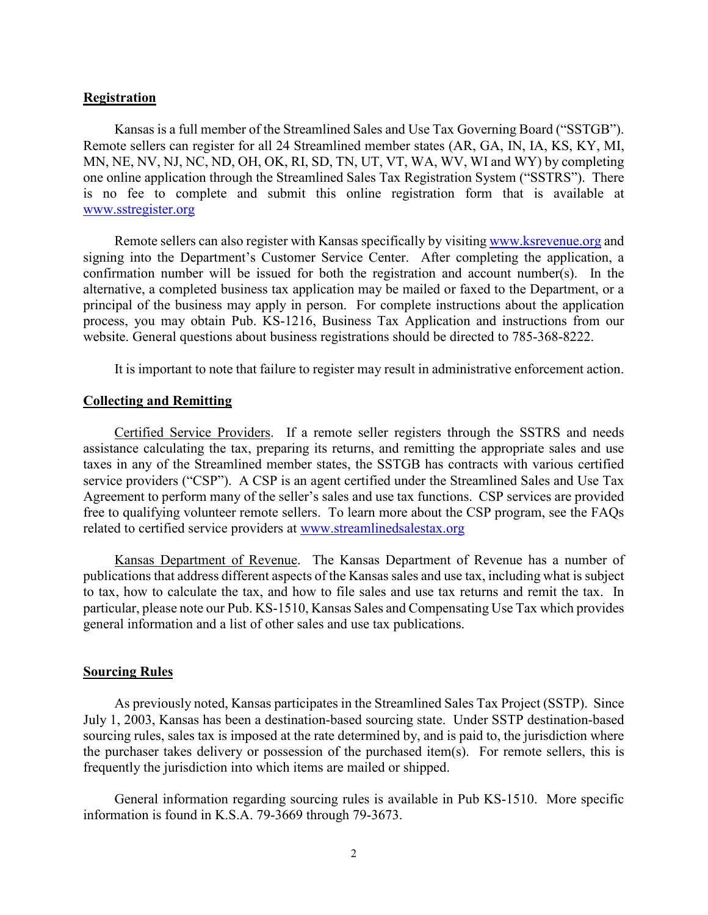#### **Registration**

Kansas is a full member of the Streamlined Sales and Use Tax Governing Board ("SSTGB"). Remote sellers can register for all 24 Streamlined member states (AR, GA, IN, IA, KS, KY, MI, MN, NE, NV, NJ, NC, ND, OH, OK, RI, SD, TN, UT, VT, WA, WV, WI and WY) by completing one online application through the Streamlined Sales Tax Registration System ("SSTRS"). There is no fee to complete and submit this online registration form that is available at [www.sstregister.org](http://www.sstregister.org/)

Remote sellers can also register with Kansas specifically by visitin[g www.ksrevenue.org](http://www.ksrevenue.org/) and signing into the Department's Customer Service Center. After completing the application, a confirmation number will be issued for both the registration and account number(s). In the alternative, a completed business tax application may be mailed or faxed to the Department, or a principal of the business may apply in person. For complete instructions about the application process, you may obtain Pub. KS-1216, Business Tax Application and instructions from our website. General questions about business registrations should be directed to 785-368-8222.

It is important to note that failure to register may result in administrative enforcement action.

### **Collecting and Remitting**

Certified Service Providers. If a remote seller registers through the SSTRS and needs assistance calculating the tax, preparing its returns, and remitting the appropriate sales and use taxes in any of the Streamlined member states, the SSTGB has contracts with various certified service providers ("CSP"). A CSP is an agent certified under the Streamlined Sales and Use Tax Agreement to perform many of the seller's sales and use tax functions. CSP services are provided free to qualifying volunteer remote sellers. To learn more about the CSP program, see the FAQs related to certified service providers at [www.streamlinedsalestax.org](http://www.streamlinedsalestax.org/)

Kansas Department of Revenue. The Kansas Department of Revenue has a number of publications that address different aspects of the Kansas sales and use tax, including what is subject to tax, how to calculate the tax, and how to file sales and use tax returns and remit the tax. In particular, please note our Pub. KS-1510, Kansas Sales and Compensating Use Tax which provides general information and a list of other sales and use tax publications.

#### **Sourcing Rules**

As previously noted, Kansas participates in the Streamlined Sales Tax Project (SSTP). Since July 1, 2003, Kansas has been a destination-based sourcing state. Under SSTP destination-based sourcing rules, sales tax is imposed at the rate determined by, and is paid to, the jurisdiction where the purchaser takes delivery or possession of the purchased item(s). For remote sellers, this is frequently the jurisdiction into which items are mailed or shipped.

General information regarding sourcing rules is available in Pub KS-1510. More specific information is found in K.S.A. 79-3669 through 79-3673.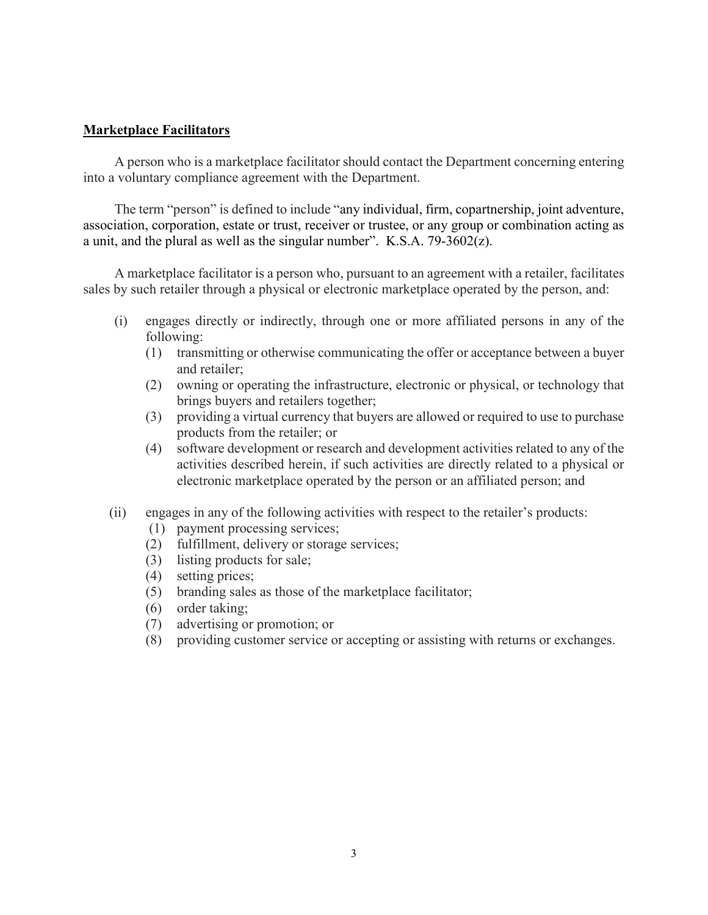### **Marketplace Facilitators**

A person who is a marketplace facilitator should contact the Department concerning entering into a voluntary compliance agreement with the Department.

The term "person" is defined to include "any individual, firm, copartnership, joint adventure, association, corporation, estate or trust, receiver or trustee, or any group or combination acting as a unit, and the plural as well as the singular number". K.S.A. 79-3602(z).

A marketplace facilitator is a person who, pursuant to an agreement with a retailer, facilitates sales by such retailer through a physical or electronic marketplace operated by the person, and:

- (i) engages directly or indirectly, through one or more affiliated persons in any of the following:
	- (1) transmitting or otherwise communicating the offer or acceptance between a buyer and retailer;
	- (2) owning or operating the infrastructure, electronic or physical, or technology that brings buyers and retailers together;
	- (3) providing a virtual currency that buyers are allowed or required to use to purchase products from the retailer; or
	- (4) software development or research and development activities related to any of the activities described herein, if such activities are directly related to a physical or electronic marketplace operated by the person or an affiliated person; and
- (ii) engages in any of the following activities with respect to the retailer's products:
	- (1) payment processing services;
	- (2) fulfillment, delivery or storage services;
	- (3) listing products for sale;
	- (4) setting prices;
	- (5) branding sales as those of the marketplace facilitator;
	- (6) order taking;
	- (7) advertising or promotion; or
	- (8) providing customer service or accepting or assisting with returns or exchanges.